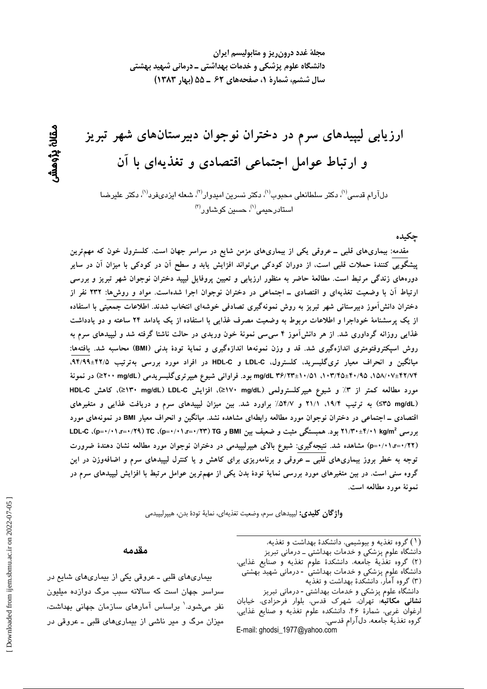مجلهٔ غدد درون ریز و متابولیسم ایران دانشگاه علوم پزشکی و خدمات بهداشتی ــ درمانی شهید بهشتی سال ششم، شمارة ١، صفحههای ۶۲ ـ ۵۵ (بهار ۱۳۸۳)

ارزیابی لیپیدهای سرم در دختران نوجوان دبیرستانهای شهر تبریز و ارتباط عوامل اجتماعی اقتصادی و تغذیهای با آن

دلآرام قدسی<sup>(۱</sup>)، دکتر سلطانعلی محبوب<sup>(۱)</sup>، دکتر نسرین امیدوار<sup>(۲)</sup>، شعله ایزدیفرد<sup>(۱)</sup>، دکتر علیرضا استادرحی*می*''، حسین کوشاور<sup>(۳)</sup>

چکیده

مقدمه: بیماریهای قلبی ــ عروقی یکی از بیماریهای مزمن شایع در سراسر جهان است. کلسترول خون که مهمترین ییشگویی کنندهٔ حملات قلبی است، از دوران کودکی میتواند افزایش یابد و سطح آن در کودکی با میزان آن در سایر دورههای زندگی مرتبط است. مطالعهٔ حاضر به منظور ارزیابی و تعیین پروفایل لیپید دختران نوجوان شهر تبریز و بررسی ارتباط آن با وضعیت تغذیهای و اقتصادی ــ اجتماعی در دختران نوجوان اجرا شدهاست. مواد و روشها: ۲۳۲ نفر از دختران دانش آموز دبیرستانی شهر تبریز به روش نمونهگیری تصادفی خوشهای انتخاب شدند. اطلاعات جمعیتی با استفاده از یک پرسشنامهٔ خوداجرا و اطلاعات مربوط به وضعیت مصرف غذایی با استفاده از یک یادامد ۲۴ ساعته و دو یادداشت غذایی روزانه گرداوری شد. از هر دانش[موز ۴ سی٬سی نمونهٔ خون وریدی در حالت ناشتا گرفته شد و لیپیدهای سرم به روش اسیکتروفتومتری اندازهگیری شد. قد و وزن نمونهها اندازهگیری و نمایهٔ تودهٔ بدنی (BMI) محاسبه شد. یافتهها: میانگین و انحراف معیار تریگلیسرید، کلسترول، LDL-C و HDL-C در افراد مورد بررسی بهترتیب ۹۴/۹۹±۹۴/۹. mg/dL ۳۶/۲۳±۱۰/۵۱ ،۱۰۳/۴۵±۴۰/۹۵ ،۱۰۳/۴۵ بود. فراوانی شیوع هیپرتریگلیسریدمی (۲۰۰ mg/dL≥) در نمونهٔ مورد مطالعه کمتر از ۳٪ و شیوع هیپرکلسترولمی (L>۱۷۰ mg/dL)، افزایش LDL-C\> mg/dL)، کاهش HDL-C (S۳۵ mg/dL) به ترتیب ۱۹/۴، ۲۱/۱ و ۵۴/۷٪ براورد شد. بین میزان لیپیدهای سرم و دریافت غذایی و متغیرهای اقتصادی ــ اجتماعی در دختران نوجوان مورد مطالعه رابطهای مشاهده نشد. میانگین و انحراف معیار BMI در نمونههای مورد بررسی ۲۱/۳۰±۴/۰۱ kg/m2 بود. همبستگی مثبت و ضعیف بین BMI و F+/۱/۳=۰/۱/۲۳ (p=۰/۰۱،r=۰/۲۹)، C (p=۰/۰۱،r (p=۰/۰۱،r=۰/۲۲) مشاهده شد. نتیجهگیری: شیوع بالای هیپرلیپیدمی در دختران نوجوان مورد مطالعه نشان دهندهٔ ضرورت توجه به خطر بروز بیماریهای قلبی ــ عروقی و برنامهریزی برای کاهش و یا کنترل لیپیدهای سرم و اضافهوزن در این گروه سنی است. در بین متغیرهای مورد بررسی نمایهٔ تودهٔ بدن یکی از مهمترین عوامل مرتبط با افزایش لیپیدهای سرم در نمونهٔ مورد مطالعه است.

**واژگان كليدى:** ليپيدهاى سرم، وضعيت تغذيهاى، نمايهٔ تودهٔ بدن، هيپرليپيدمى

#### مقدمه

بیماریهای قلبی ـ عروقی یکی از بیماریهای شایع در سراسر جهان است که سالانه سبب مرگ دوازده میلیون نفر میشود.<sup>\</sup> براساس آمارهای سازمان جهانی بهداشت، میزان مرگ و میر ناشی از بیماریهای قلبی ـ عروقی در (١) گروه تغذیه و بیوشیمی، دانشکدهٔ بهداشت و تغذیه،

دانشگاه علوم پزشکی و خدمات بهداشتی ــ درمانی تبریز (٢) گروه تغذية جامعه، دانشكدة علوم تغذيه و صنايع غذايي، دانشگاه علوم پزشکی و خدمات بهداشتی - درمانی شهید بهشتی

(۳) گروه آمار، دانشکدهٔ بهداشت و تغذیه

دانشگاه علوم پزشکی و خدمات بهداشتی - درمانی تبریز نشانی مکاتبه: تهران، شهرک قدس، بلوار فرحزادی، خیابان ارغوان غربي، شمارهٔ ۴۶، دانشكده علوم تغذيه و صنايع غذايي، گروه تغذيهٔ جامعه، دلآرام قدسي. E-mail: ghodsi\_1977@yahoo.com

ىقان بزومش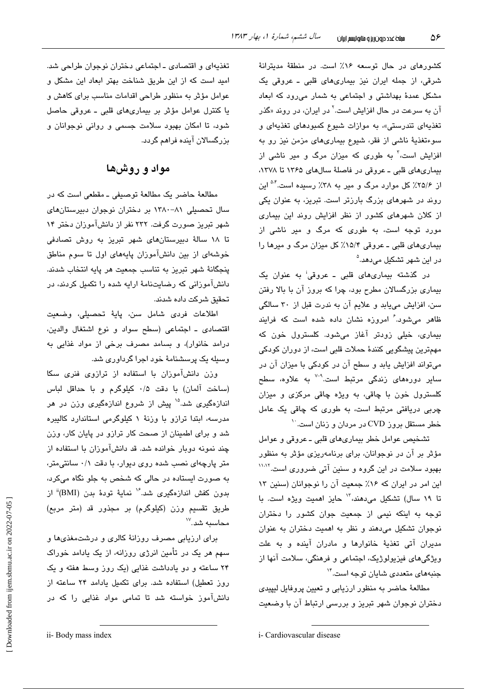کشورهای در حال توسعه ۱۶٪ است. در منطقهٔ مدیترانهٔ شرقی، از جمله ایران نیز بیماریهای قلبی ـ عروقی یک مشکل عمدهٔ بهداشتی و اجتماعی به شمار میرود که ابعاد آن به سرعت در حال افزایش است.<sup>۲</sup> در ایران، در روند «گذر تغذیهای تندرستی»، به موازات شیوع کمبودهای تغذیهای و سوءتغذیهٔ ناشی از فقر، شیوع بیماریهای مزمن نیز رو به افزایش است،<sup>۳</sup> به طوری که میزان مرگ و میر ناش*ی* از بیماریهای قلبی ـ عروقی در فاصلهٔ سالهای ۱۳۶۵ تا ۱۳۷۸، از ۲۵/۶٪ کل موارد مرگ و میر به ۳۸٪ رسیده است.<sup>۵۰ </sup>این روند در شهرهای بزرگ بارزتر است. تبریز، به عنوان یکی از کلان شهرهای کشور از نظر افزایش روند این بیماری مورد توجه است، به طوری که مرگ و میر ناشی از بیماریهای قلبی ـ عروقی ۱۵/۴٪ کل میزان مرگ و میرها را در این شهر تشکیل مے،دهد.<sup>۵</sup>

در گذشته بیماریهای قلبی ـ عروقی<sup>:</sup> به عنوان یک بیماری بزرگسالان مطرح بود، چرا که بروز آن با بالا رفتن سن، افزایش مییابد و علایم آن به ندرت قبل از ۳۰ سالگی ظاهر می شود.<sup>۶</sup> امروزه نشان داده شده است که فرایند بیماری، خیلی زودتر آغاز میشود. کلسترول خون که مهمترین پیشگویی کنندهٔ حملات قلبی است، از دوران کودکی میتواند افزایش یابد و سطح آن در کودکی با میزان آن در سایر دورههای زندگی مرتبط است.<sup>۷-۷</sup> به علاوه، سط*ح* کلسترول خون با چاقی، به ویژه چاقی مرکزی و میزان چربی دریافتی مرتبط است، به طوری که چاقی یک عامل خطر مستقل بروز CVD در مردان و زنان است.<sup>۱۰</sup>

تشخيص عوامل خطر بيماري هاي قلبي ـ عروقي و عوامل مؤثر پر آن در نوجوانان، پرای پرنامهریزی مؤثر به منظور بهبود سلامت در این گروه و سنین آتی ضروری است.<sup>۱۱٬۱۲</sup> این امر در ایران که ۱۶٪ جمعیت آن را نوجوانان (سنین ۱۳ تا ۱۹ سال) تشکیل میدهند، <sup>۱۳</sup> حایز ا*ه*میت ویژه است. با توجه به اینکه نیمی از جمعیت جوان کشور را دختران نوجوان تشکیل می دهند و نظر به اهمیت دختران به عنوان مديران آتى تغذيۀ خانوارها و مادران آينده و به علت ویژگیهای فیزیولوژیک، اجتماعی و فرهنگی، سلامت آنها از جنبههای متعددی شایان توجه است.<sup>۱۴</sup>

مطالعهٔ حاضر به منظور ارزیابی و تعیین پروفایل لیپیدی دختران نوجوان شهر تبریز و بررسی ارتباط آن با وضعیت

تغذیهای و اقتصادی ـ اجتماعی دختران نوجوان طراحی شد. امید است که از این طریق شناخت بهتر ابعاد این مشکل و عوامل مؤثر به منظور طراحی اقدامات مناسب برای کاهش و يا كنترل عوامل مؤثر بر بيماري هاي قلبي - عروقي حاصل شود، تا امکان بهبود سلامت جسمی و روانی نوجوانان و بزرگسالان آینده فراهم گردد.

# مواد و روشها

مطالعهٔ حاضر یک مطالعهٔ توصیفی ـ مقطعی است که در سال تحصیلی ۸۱-۱۳۸۰ بر دختران نوجوان دبیرستانهای شهر تبریز صورت گرفت. ۲۳۲ نفر از دانشآموزان دختر ۱۴ تا ۱۸ سالهٔ دبیرستانهای شهر تبریز به روش تصادفی خوشهای از بین دانشآموزان پایههای اول تا سوم مناطق پنجگانهٔ شهر تبریز به تناسب جمعیت هر پایه انتخاب شدند. دانشآموزانی که رضایتنامهٔ ارایه شده را تکمیل کردند، در تحقیق شرکت داده شدند.

اطلاعات فردى شامل سن، پايهٔ تحصيلي، وضعيت اقتصادى ـ اجتماعى (سطح سواد و نوع اشتغال والدين، درامد خانوار)، و بسامد مصرف برخی از مواد غذایی به وسیله یک پرسشنامهٔ خود اجرا گرداوری شد.

وزن دانشآموزان با استفاده از ترازوی فنری سکا (ساخت آلمان) با دقت ۰/۵ كيلوگرم و با حداقل لباس اندازهگیری شد.<sup>۱۵</sup> پیش از شروع اندازهگیری وزن در هر مدرسه، ابتدا ترازو با وزنهٔ ۱ کیلوگرمی استاندارد کالیبره شد و برای اطمینان از صحت کار ترازو در پایان کار، وزن چند نمونه دوبار خوانده شد. قد دانشآموزان با استفاده از متر پارچهای نصب شده روی دیوار، با دقت ۰/۱ سانتی متر، به صورت ایستاده در حالی که شخص به جلو نگاه میکرد، بدون كفش اندازهگیری شد.<sup>۱۶</sup> نمایهٔ تودهٔ بدن (BMI)<sup>ة</sup> از طريق تقسيم وزن (كيلوگرم) بر مجذور قد (متر مربع) محاسبه شد. ```

برای ارزیابی مصرف روزانهٔ کالری و درشتمغذیها و سهم هر یک در تأمین انرژی روزانه، از یک یادامد خوراک ۲۴ ساعته و دو یادداشت غذایی (یک روز وسط هفته و یک روز تعطیل) استفاده شد. برای تکمیل یادامد ۲۴ ساعته از دانشآموز خواسته شد تا تمامی مواد غذایی را که در

i- Cardiovascular disease

ii- Body mass index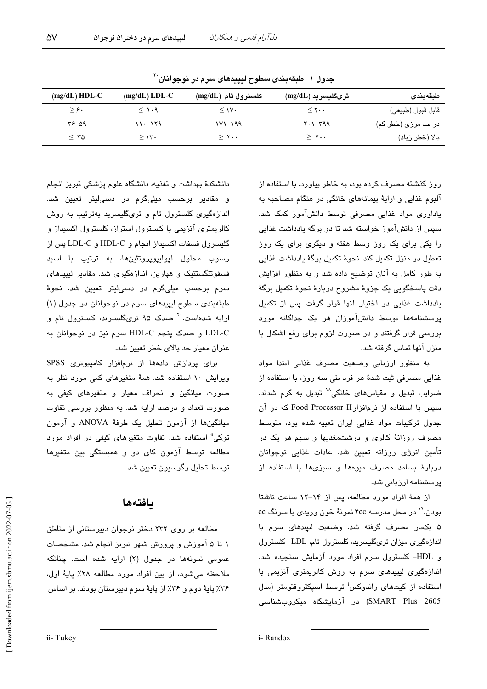| $(mg/dL) HDL-C$ | $(mg/dL)$ LDL-C | كلسترول تام (mg/dL) | ترىگليسريد (mg/dL)                  | طبقەبندى            |
|-----------------|-----------------|---------------------|-------------------------------------|---------------------|
| $\geq$ ۶.       | $\leq$ 1.9      | $\leq$ 1V $\cdot$   | $\leq$ Y $\cdots$                   | قابل قبول (طبيعي)   |
| $Y^{\rho}$ -09  | $11 - 179$      | $111 - 199$         | $Y \cdot 1 - Y99$                   | در حد مرزی (خطر کم) |
| $\leq$ 70       | $\geq$ 1۳.      | $\geq$ ۲            | $>$ $\mathfrak{r}\cdot\mathfrak{r}$ | بالا (خطر زياد)     |

جدول ١- طبقهبندي سطوح لبيبدهاي سرم در نوجوانان``

روز گذشته مصرف کرده بود، به خاطر بیاورد. با استفاده از آلبوم غذایی و ارایهٔ پیمانههای خانگی در هنگام مصاحبه به یاداوری مواد غذایی مصرفی توسط دانشآموز کمک شد. سپس از دانشآموز خواسته شد تا دو پرگه پادداشت غذایی را یکی برای یک روز وسط هفته و دیگری برای یک روز تعطیل در منزل تکمیل کند. نحوهٔ تکمیل برگهٔ یادداشت غذایی په طور کامل په آنان توضیح داده شد و په منظور افزایش دقت پاسخگویی یک جزوهٔ مشروح دربارهٔ نحوهٔ تکمیل برگهٔ یادداشت غذایی در اختیار آنها قرار گرفت. پس از تکمیل پرسشنامهها توسط دانشآموزان هر یک جداگانه مورد بررسی قرار گرفتند و در صورت لزوم برای رفع اشکال با منزل آنها تماس گرفته شد.

به منظور ارزیابی وضعیت مصرف غذایی ابتدا مواد غذایی مصرفی ثبت شدهٔ هر فرد طی سه روز، با استفاده از ضرایب تبدیل و مقیاسهای خانگی<sup>۱۸</sup> تبدیل به گرم شدند. سیس با استفاده از نرمافزارTood Processor II که در آن جدول ترکیبات مواد غذایی ایران تعبیه شده بود، متوسط مصرف روزانهٔ کالری و درشتمغذیها و سهم هر یک در تأمین انرژی روزانه تعیین شد. عادات غذایی نوجوانان دربارهٔ بسامد مصرف میوهها و سبزیها با استفاده از یرسشنامه ارزیابی شد.

از همهٔ افراد مورد مطالعه، پس از ۱۴-۱۲ ساعت ناشتا بودن، `` در محل مدرسه ۴cc نمونهٔ خون وریدی با سرنگ cc ۵ یکبار مصرف گرفته شد. وضعیت لیپیدهای سرم با اندازهگیری میزان تریگلیسرید، کلسترول تام، LDL-کلسترول و HDL- کلسترول سرم افراد مورد آزمایش سنجیده شد. اندازهگیری لیپیدهای سرم به روش کالریمتری آنزیمی با استفاده از کیتهای راندوکس<sup>ا</sup> توسط اسپکتروفتومتر (مدل SMART Plus 2605) در آزمایشگاه میکروبشناسی

دانشکدهٔ مهداشت و تغذیه، دانشگاه علوم پزشکی تبریز انجام و مقادیر برحسب میلیگرم در دسی!یتر تعیین شد. اندازهگیری کلسترول تام و تریگلیسرید بهترتیب به روش کالریمتری آنزیمی یا کلسترول استراز، کلسترول اکسیداز و گلیسرول فسفات اکسیداز انجام و HDL-C و LDL-C پس از رسوب محلول آيوليپويرونئينها، به ترتيب با اسيد فسفوتنگستنیک و هیارین، اندازهگیری شد. مقادیر لیپیدهای سرم برحسب میلیگرم در دسی!یتر تعیین شد. نحوهٔ طبقهبندی سطوح لیپیدهای سرم در نوجوانان در جدول (۱) ارایه شدهاست.<sup>۲۰</sup> صدک ۹۵ تریگلیسرید، کلسترول تام و LDL-C و صدک پنجم HDL-C سرم نیز در نوجوانان به عنوان معیار حد بالای خطر تعیین شد.

برای پردازش دادهها از نرمافزار کامپیوتری SPSS ویرایش ۱۰ استفاده شد. همهٔ متغیرهای کمی مورد نظر به صورت میانگین و انحراف معیار و متغیر*های* کیفی به صورت تعداد و درصد ارایه شد. به منظور بررسی تفاوت میانگینها از آزمون تحلیل یک طرفهٔ ANOVA و آزمون توکی" استفاده شد. تفاوت متغیرهای کیفی در افراد مورد مطالعه توسط آزمون کای دو و همبستگی بین متغیرها توسط تحليل رگرسيون تعيين شد.

### بافتهها

مطالعه بر روی ۲۳۲ دختر نوجوان دبیرستانی از مناطق ۱ تا ۵ آموزش و پرورش شهر تبریز انجام شد. مشخصات عمومی نمونهها در جدول (۲) ارایه شده است. چنانکه ملاحظه میشود، از بین افراد مورد مطالعه ۲۸٪ پایهٔ اول، ۳۶٪ پایهٔ دوم و ۳۶٪ از پایهٔ سوم دبیرستان بودند. بر اساس

ii-Tukey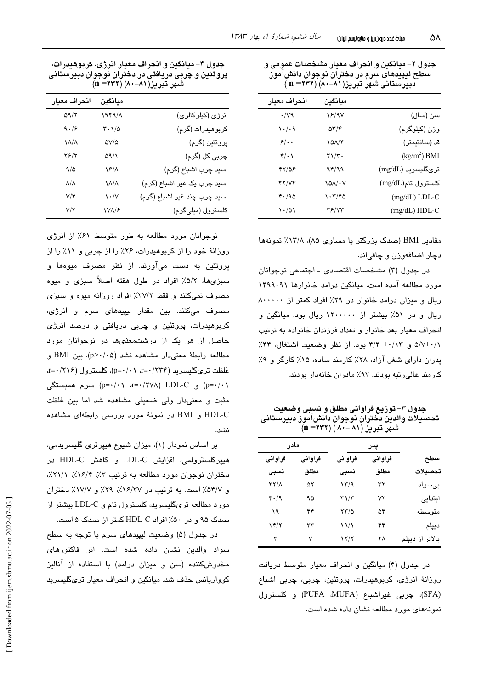| جدول ۲– میانگین و انحراف معیار مشخصات عمومی و |
|-----------------------------------------------|
| سطح ليپيدهای سرم در دختران نوجوان دانش!موز    |
| دبیرستانی شهر تبریز(۸۱−۸۰) (۳۲۲ = n)          |

| انحراف معيار | مىانگىن                   |                    |
|--------------|---------------------------|--------------------|
| $\cdot$ /vq  | 18/97                     | سن (سال)           |
| ۱۰/۰۹        | $\Delta \tau / \tau$      | وزن (کیلوگرم)      |
| $5/$ .       | 101/4                     | قد (سانتيمتر)      |
| $4\cdot 1$   | $\tau \setminus / \tau$ . | $(kg/m2)$ BMI      |
| 47158        | 94/99                     | ترىگليسريد (mg/dL) |
| YY/YY        | ۱۵۸/۰۷                    | كلسترول تام(mg/dL) |
| 4.190        | ۱۰۳/۴۵                    | $(mg/dL)$ LDL-C    |
| $\cdot$ /01  | ۳۶/۲۳                     | (mg/dL) HDL-C      |

مقادیر BMI (صدک بزرگتر یا مساوی ۸۵)، ۱۳/۸٪ نمونهها دچار اضافهوزن و چاقیاند.

در جدول (۳) مشخصات اقتصادی ـ اجتماعی نوجوانان مورد مطالعه آمده است. مبانگین درامد خانوارها ۱۴۹۹۰۹۱ ريال و ميزان درامد خانوار در ٢٩٪ افراد كمتر از ٨٠٠٠٠٠ ریال و در ۵۱٪ بیشتر از ۱۲۰۰۰۰۰ ریال بود. میانگین و انحراف معبار بعد خانوار و تعداد فرزندان خانواده به ترتیب ۵/۷±۰/۱۲ و ۴/۴ ±۰/۱۳ بود. از نظر وضعیت اشتغال، ۴۴٪ پدران دارای شغل آزاد، ۲۸٪ کارمند ساده، ۱۵٪ کارگر و ۹٪ کارمند عالی رتبه بودند. ۹۳٪ مادران خانهدار بودند.

جدول ۳– توزیع فراوانی مطلق و نسبی وضعیت تحصيلات والدين دختران نوجوان دانش[موز دبيرستانى شهَر تبريز ( ۸۱ –۸۰) (۲۳۲ (n

| مادر        |         | پدر                  |         |                 |
|-------------|---------|----------------------|---------|-----------------|
| فراواني     | فراواني | فراواني              | فراواني | سطح             |
| نسبى        | مطلق    | نسبى                 | مطلق    | تحصىلات         |
| <b>TY/1</b> | ۵۲      | ۱۳/۹                 | ۳۲      | بے سواد         |
| 4.19        | ۹۵      | $\tau\gamma/\tau$    | ۷۲      | ابتدايي         |
| ۱۹          | ۴۴      | ۲۳/۵                 | ۵۴      | متو سطه         |
| ۱۴/۲        | ٣٣      | 19/1                 | ۴۴      | ديپلم           |
| ٣           | ٧       | $\frac{1}{\sqrt{2}}$ | ۲۸      | بالاتر از ديپلم |

در جدول (۴) میانگین و انحراف معیار متوسط دریافت روزانهٔ انرژی، کربوهیدرات، پروتئین، چربی، چربی اشباع (SFA)، چربی غیراشباع (PUFA ،MUFA) و کلسترول نمونههای مورد مطالعه نشان داده شده است.

جدول ۴– میانگین و انحراف معیار انرژی، کربوهیدرات، پروتئین و چربی دریافتی در دختران نوجوان دبیرستانی شهر تبریز(۸۱–۸۰) (۲۳۲= n)

| انحراف معيار           | ميانگين                                  |                              |
|------------------------|------------------------------------------|------------------------------|
| $\Delta \gamma/\gamma$ | 1949/1                                   | انرژی (کیلوکالری)            |
| 9.19                   | $\mathbf{r} \cdot \mathbf{1}/\mathbf{r}$ | کربوهیدرات (گرم)             |
| $\lambda/\lambda$      | $\Delta V/\Delta$                        | پروتئين (گرم)                |
| ۲۶/۲                   | ۵۹/۱                                     | چربی کل (گرم)                |
| 9/0                    | $\sqrt{2}/\Lambda$                       | اسيد چرب اشباع (گرم)         |
| $\Lambda/\Lambda$      | $\lambda/\lambda$                        | اسید چرب یک غیر اشباع (گرم)  |
| $V/\mathfrak{r}$       | $\mathcal{N} \cdot \mathcal{N}$          | اسيد چرب چند غير اشباع (گرم) |
| V/Y                    | <b><i>NVA/۶</i></b>                      | كلسترول (ميلىگرم)            |

نوجوانان مورد مطالعه به طور متوسط ۶۱٪ از انرژی روزانهٔ خود را از کربوهیدرات، ۲۶٪ را از چربی و ۱۱٪ را از پروتئین به دست میآورند. از نظر مصرف میوهها و سبزیها، ۵/۲٪ افراد در طول هفته اصلاً سبزی و میوه مصرف نمیکنند و فقط ۲۷/۲٪ افراد روزانه میوه و سبزی مصرف میکنند. بین مقدار لیپیدهای سرم و انرژی، کربوهیدرات، پروتئین و چربی دریافتی و درصد انرژی حاصل از هر یک از درشتمغذیها در نوجوانان مورد مطالعه رابطة معنى دار مشاهده نشد (p>٠/٠۵). بين BMI و غلظت ترىگليسريد (۲۳۴/ ·= a=٠/٢١)، كلسترول (٢١٤/ ·= a=٠/٢١٤) و D=۰/۰۱ (۲۷۸ (۲۷۸ (۰٫۹-۵  $p = \cdot / \cdot \cdot$  سرم همبستگی (p=۰/۰۱ مثبت و معنیدار ولی ضعیفی مشاهده شد اما بین غلظت HDL-C و BMI در نمونهٔ مورد بررسی رابطهای مشاهده نشد.

بر اساس نمودار (۱)، میزان شیوع هیپرتری گلیسریدمی، هیپرکلسترولمی، افزایش LDL-C و کاهش HDL-C در دختران نوجوان مورد مطالعه به ترتیب ۳٪، ۱۶/۴٪، ۲۱/۱٪. و ۵۴/۷٪ است. به ترتیب در ۱۶/۳۷٪، ۲۹٪ و ۱۷/۷٪ دختران مورد مطالعه تریگلیسرید، کلسترول تام و LDL-C بیشتر از صدک ۹۵ و در ۵۰٪ افراد HDL-C کمتر از صدک ۵ است.

در جدول (۵) وضعیت لیپیدهای سرم با توجه به سطح سواد والدین نشان داده شده است. اثر فاکتورهای مخدوش کننده (سن و میزان درامد) با استفاده از آنالیز کوواریانس حذف شد. میانگین و انحراف معیار تریگلیسرید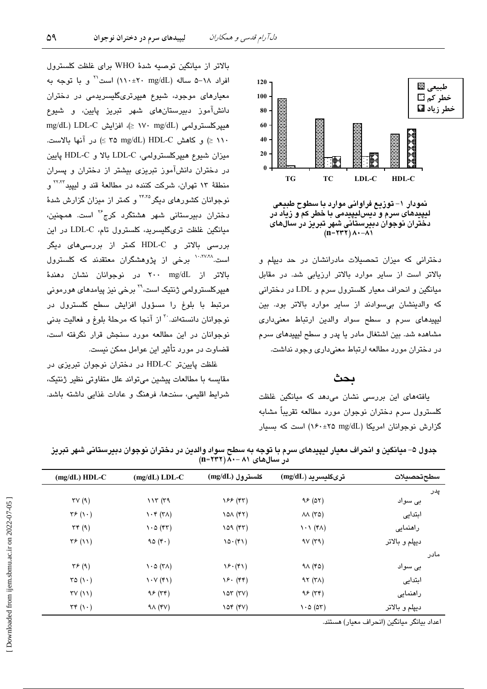

نمودار ۱– توزیع فراوانی موارد با سطوح طبیعی لیپیدهای سرم و دیس لیپیدمی با خطر کم و زیاد در<br>لیپیدهای سرم و دیس لیپیدمی با خطر کم و زیاد در<br>دختران نوجوان دبیرستانی شهر تبریز در سال *های* 

دخترانی که میزان تحصیلات مادرانشان در حد دیپلم و بالاتر است از سایر موارد بالاتر ارزیابی شد. در مقابل میانگین و انحراف معیار کلسترول سرم و LDL در دخترانی که والدینشان بی سوادند از سایر موارد بالاتر بود. بین لیپیدهای سرم و سطح سواد والدین ارتباط معنیداری مشاهده شد. بین اشتغال مادر یا پدر و سطح لیپیدهای سرم در دختران مورد مطالعه ارتباط معنىدارى وجود نداشت.

## ىحث

یافتههای این بررسی نشان میدهد که میانگین غلظت كلسترول سرم دختران نوجوان مورد مطالعه تقريباً مشابه گزارش نوجوانان امریکا (۲۵ x۶۰±۱۶۰) است که بسیار

بالاتر از میانگین توصیه شدهٔ WHO برای غلظت کلسترول افراد ٦٨-۵ ساله (٣٠٠±٢٠ ١١٠) است<sup>71</sup> و با توجه به معیارهای موجود، شیوع هیپرتریگلیسریدمی در دختران دانشآموز دبیرستانهای شهر تبریز پایین، و شیوع mg/dL) LDL-C د/ ۱۷۰ mg/dL) میپرکلسترولمی (۱۷۰ mg/dL ۱۱۰ ≤) و كاهش HDL-C (P × o mg/dL (۲۵ × ) در آنها بالاست. ميزان شيوع هيپركلسترولمي، LDL-C بالا و HDL-C پايين در دختران دانشآموز تبریزی بیشتر از دختران و پسران منطقهٔ ۱۳ تهران، شرکت کننده در مطالعهٔ قند و لیپید<sup>۲۲٬۲۲</sup> و نوجوانان کشورهای دیگر<sup>۲۴،۲۵</sup> و کمتر از میزان گزارش شدهٔ دختران دبیرستانی شهر هشتگرد کرج<sup>۲۶</sup> است. همچنین، میانگین غلظت تریگلیسرید، کلسترول تام، LDL-C در این بررسی بالاتر و HDL-C کمتر از بررسی های دیگر است.<sup>۱۰،۲۷،۲۸</sup> برخی از پژوهشگران معتقدند که کلسترول .<br>بالاتر از mg/dL ۲۰۰ در نوجوانان نشان دهندهٔ ھیپرکلسترولمی ژنتیک است،<sup>۲۹</sup> برخی نیز پیامد*ھ*ای ھورمونی مرتبط با بلوغ را مسؤول افزایش سطح کلسترول در نوجوانان دانستهاند.<sup>۳۰</sup> از آنجا که مرحلهٔ بلوغ و فعالیت بدن*ی* نوجوانان در این مطالعه مورد سنجش قرار نگرفته است، قضاوت در مورد تأثیر این عوامل ممکن نیست.

<u>غلظت پایینتر HDL-C در دختران نوجوان تیریزی در</u> مقایسه با مطالعات پیشین میتواند علل متفاوتی نظیر ژنتیک، شرایط اقلیمی، سنتها، فرهنگ و عادات غذایی داشته باشد.

|      | در سالهای ۸۱ –۸۰ (۱۱۱ =۱۱) |                                        |                                          |                                          |                      |
|------|----------------------------|----------------------------------------|------------------------------------------|------------------------------------------|----------------------|
|      | سطحتحصيلات                 | ترىگليسريد (mg/dL)                     | كلسترول (mg/dL)                          | $(mg/dL)$ LDL-C                          | $(mg/dL) HDL-C$      |
| پدر  |                            |                                        |                                          |                                          |                      |
|      | بی سواد                    | 95(07)                                 | (۴۳ (۴۳                                  | 117(79)                                  | TV(9)                |
|      | ابتدايى                    | $\lambda\lambda$ (۳۵)                  | $\lambda$ $\Delta$ $(55)$                | $\lambda \cdot \mathfrak{r}$ (۳۸)        | $\tau$ ۶ $($ ۱ · $)$ |
|      | راهنمایی                   | $\lambda \cdot \lambda$ (۴ $\lambda$ ) | 109 (rr)                                 | $\cdot \circ (\mathfrak{r}\mathfrak{r})$ | $\tau \tau$ (9)      |
|      | ديپلم و بالاتر             | 9V(r9)                                 | $10 \cdot (51)$                          | 90(r)                                    | $\tau$ $(11)$        |
| مادر |                            |                                        |                                          |                                          |                      |
|      | بی سواد                    | $9\land$ (۴۵)                          | $\mathcal{S}(\mathfrak{k})$              | $\lambda \cdot \Delta$ (۳۸)              | $\tau$ ۶ (۹)         |
|      | ابتدايى                    | 97 (7)                                 | $Y$ . $(Y^{\varphi})$                    | $\lambda \cdot \lambda(\kappa)$          | ra(1)                |
|      | راهنمایی                   | 95(79)                                 | $\sqrt{2} \tau$ ( $\tau$ V)              | 95 (77)                                  | TV(N)                |
|      | ديپلم و بالاتر             | $\cdot \circ (\circ \tau)$             | $\lambda$ $\circ$ $\circ$ $(\circ \vee)$ | 91 (۴۷)                                  | $\tau \tau (\cdot)$  |

جدول ۵– میانگین و انحراف معیار لیپیدهای سرم با توجه به سطح سواد والدین در دختران نوجوان دبیرستانی شهر تبریز

اعداد بيانگر ميانگين (انحراف معيار) هستند.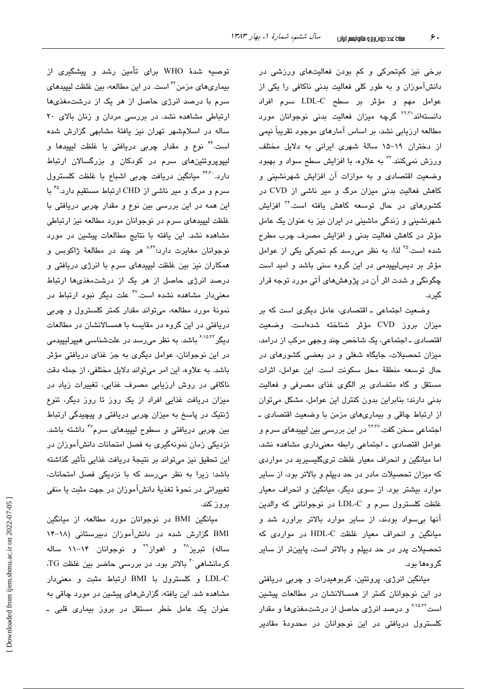برخی نیز کمتحرکی و کم بودن فعالیتهای ورزشی در دانشآموزان و به طور کلی فعالیت بدنی ناکافی را یکی از عوامل مهم و مؤثَّر بر سطح LDL-C سرم افراد دانستهاند<sup>۳۲،۳</sup> گرچه میزان فعالیت بدنی نوجوانان مورد مطالعه ارزیابی نشد، بر اساس آمارهای موجود تقریباً نیمی از دختران ١٩–١۵ سالةً شهرى ايرانى به دلايل مختلف ورزش نمیکنند.<sup>۳</sup> به علاوه، با افزایش سطح سواد و بهبود وضعت اقتصادی و به موازات آن افزایش شهرنشینی و کاهش فعالیت بدنی میزان مرگ و میر ناشی از CVD در کشورها*ی* در حال توسعه کاهش یافته است.<sup>۳۴</sup> افزایش شهرنشینی و زندگی ماشینی در ایران نیز به عنوان یک عامل مؤثر در كاهش فعاليت بدنى و افزايش مصرف چرب مطرح شده است.<sup>76</sup> لذا، به نظر میرسد کم تحرکی یکی از عوامل مؤثر بر دیس لیپیدمی در این گروه سنی باشد و امید است چگونگی و شدت اثر آن در پژوهشهای آتی مورد توجه قرار گىر د.

وضعیت اجتماعی ـ اقتصادی، عامل دیگری است که بر میزان بروز CVD مؤثر شناخته شدهاست. وضعیت اقتصادی ـ اجتماعی، یک شاخص چند وجهی مرکب از درامد، میزان تحصیلات، جایگاه شغلی و در یعضی کشورهای در حال توسعه منطقة محل سكونت است. اين عوامل، اثرات مستقل و گاه متضادی بر الگوی غذای مصرفی و فعالیت بدنی دارند؛ بنابراین بدون کنترل این عوامل، مشکل میتوان از ارتباط چاقی و بیماریهای مزمن با وضعیت اقتصادی ـ اجتماعی سخن گفت.<sup>۲۶،۳۷</sup> در این بررسی بین لیپید*ه*ای سرم و عوامل اقتصادی ـ اجتماعی رابطه معنیداری مشاهده نشد، اما میانگین و انحراف معیار غلظت تریگلیسیرید در مواردی که میزان تحصیلات مادر در حد دیپلم و بالاتر بود، از سایر موارد بیشتر بود. از سوی دیگر، میانگین و انحراف معیار غلظت کلسترول سرم و LDL-C در نوجوانانی که والدین آنها بی سواد بودند، از سایر موارد بالاتر براورد شد و مبانگین و انحراف معبار غلظت HDL-C در مواردی که تحصیلات پدر در حد دیپلم و بالاتر است، پایینتر از سایر گروهها بود.

میانگین انرژی، پروتئین، کربوهیدرات و چربی دریافتی در این نوجوانان کمتر از همسالانشان در مطالعات پیشین است<sup>۶٬۱۵٬۲۲</sup> و درصد انرژی حاصل از درشتم**غ**ذیها و مقدار کلسترول دریافتی در این نوجوانان در محدودهٔ مقادیر

توصیه شدهٔ WHO برای تأمین رشد و پیشگیری از بیماریهای مزمن<sup>۳۲</sup> است. در این مطالعه، بین غلظت لیپیدهای سرم با درصد انرژی حاصل از هر یک از درشتمغذیها ارتباطی مشاهده نشد. در بررسی مردان و زنان بالای ٢٠ ساله در اسلامشهر تهران نیز یافتهٔ مشابهی گزارش شده است." نوع و مقدار چربی دریافتی با غلظت لیپیدها و لیپوپروتئینهای سرم در کودکان و بزرگسالان ارتباط دارد. ً<sup>۴۴۳</sup> میانگین دریافت چربی اشباع با غلظت کلسترول سرم و مرگ و میر ناشی از CHD ارتباط مستقیم دارد.°<sup>۴</sup> با این همه در این بررسی بین نوع و مقدار چربی دریافتی با غلظت لیپیدهای سرم در نوجوانان مورد مطالعه نیز ارتباطی مشاهده نشد. این یافته با نتایج مطالعات پیشین در مورد نوجوانان مغايرت دارد:<sup>۸،۴۶</sup> هر چند در مطالعهٔ ژاکوبس و همکاران نیز بین غلظت لیپیدهای سرم با انرژی دریافتی و درصد انرژی حاصل از هر یک از درشتمغذیها ارتباط معنیدار مشاهده نشده است.<sup>۴۷</sup> علت دیگر نبود ارتباط در نمونهٔ مورد مطالعه، میتواند مقدار کمتر کلسترول و چربی دریافتی در این گروه در مقایسه با همسالانشان در مطالعات دیگر<sup>۶،۱۵،۲۲</sup> باشد. به نظر می٫رسد در علتشناسی هیپرلیپیدمی در این نوجوانان، عوامل دیگری به جز غذای دریافتی مؤثر باشد. به علاوه، این امر میتواند دلایل مختلفی، از جمله دقت ناکافی در روش ارزیابی مصرف غذایی، تغییرات زیاد در میزان دریافت غذایی افراد از یک روز تا روز دیگر، تنوع ژنتیک در پاسخ به میزان چربی دریافتی و پیچیدگی ارتباط بین چربی دریافتی و سطوح لیپید*ه*ای سرم<sup>۴۷</sup> داشته باشد. نزدیکی زمان نمونهگیری به فصل امتحانات دانشآموزان در این تحقیق نیز میتواند بر نتیجهٔ دریافت غذایی تأثیر گذاشته باشد؛ زیرا به نظر می رسد که با نزدیکی فصل امتحانات، تغییراتی در نحوهٔ تغذیهٔ دانشآموزان در جهت مثبت یا منفی بروز کند.

میانگین BMI در نوجوانان مورد مطالعه، از میانگین BMI گزارش شده در دانشآموزان دبیرستانی (۱۸-۱۴ ساله) تبریز<sup>۳۸</sup> و اهواز<sup>۳۹</sup> و نوجوانان ۱۴–۱۱ ساله کرمانشاهی<sup>۴۰</sup> بالاتر بود. در بررسی حاضر بین غلظت TG، LDL-C و کلسترول با BMI ارتباط مثبت و معنى دار مشاهده شد. این یافته، گزارشهای پیشین در مورد چاقی به عنوان یک عامل خطر مستقل در بروز بیماری قلبی ـ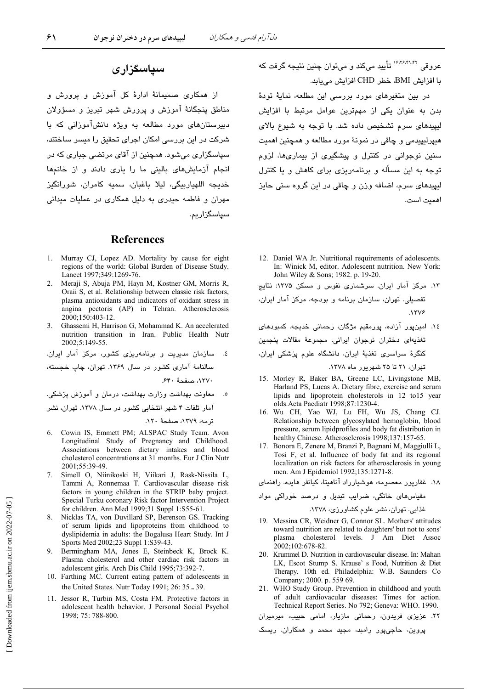## سیاسگزاری

از همکاری صمیمانهٔ ادارهٔ کل آموزش و پرورش و مناطق پنجگانهٔ آموزش و پرورش شهر تبریز و مسؤولان دبیرستانهای مورد مطالعه به ویژه دانشآموزانی که با شرکت در این بررسی امکان اجرای تحقیق را میسر ساختند، سپاسگزاری میشود. همچنین از آقای مرتضی جباری که در انجام آزمایش های بالینی ما را باری دادند و از خانمها خديجه اللهياربيگي، ليلا باغبان، سميه كامران، شورانگيز مهران و فاطمه حیدری به دلیل همکاری در عملیات میدانی سیاسگزاریم.

### **References**

- Murray CJ, Lopez AD. Mortality by cause for eight  $1$ regions of the world: Global Burden of Disease Study. Lancet 1997;349:1269-76.
- 2. Meraji S, Abuja PM, Hayn M, Kostner GM, Morris R, Oraii S, et al. Relationship between classic risk factors, plasma antioxidants and indicators of oxidant stress in angina pectoris (AP) in Tehran. Atherosclerosis 2000;150:403-12.
- Ghassemi H, Harrison G, Mohammad K. An accelerated nutrition transition in Iran. Public Health Nutr 2002;5:149-55.

٤. سازمان مديريت و برنامهريزى كشور، مركز آمار ايران. سالنامهٔ آماری کشور در سال ۱۳۶۹. تهران، چاپ خجسته، ١٣٧٠، صفحة ٤٤٠.

معاونت بهداشت وزارت بهداشت، درمان و آموزش پزشکی. آمار تلفات ۴ شهر انتخابی کشور در سال ۱۳۷۸. تهران، نشر

ترمه، ١٣٧٩، صفحهٔ ١٢٠.

- 6. Cowin IS, Emmett PM; ALSPAC Study Team. Avon Longitudinal Study of Pregnancy and Childhood. Associations between dietary intakes and blood cholesterol concentrations at 31 months. Eur J Clin Nutr 2001:55:39-49.
- Simell O, Niinikoski H, Viikari J, Rask-Nissila L,  $7<sub>1</sub>$ Tammi A, Ronnemaa T. Cardiovascular disease risk factors in young children in the STRIP baby project. Special Turku coronary Risk factor Intervention Project for children. Ann Med 1999;31 Suppl 1:S55-61.
- 8. Nicklas TA, von Duvillard SP, Berenson GS. Tracking of serum lipids and lipoproteins from childhood to dyslipidemia in adults: the Bogalusa Heart Study. Int J Sports Med 2002;23 Suppl 1:S39-43.
- Bermingham MA, Jones E, Steinbeck K, Brock K. 9 Plasma cholesterol and other cardiac risk factors in adolescent girls. Arch Dis Child 1995;73:392-7.
- 10. Farthing MC. Current eating pattern of adolescents in the United States. Nutr Today 1991; 26: 35 - 39.
- 11. Jessor R, Turbin MS, Costa FM. Protective factors in adolescent health behavior. J Personal Social Psychol 1998: 75: 788-800.

عروقي <sup>۱۶٬۲۶٬۴۱٬۴۲</sup> تأييد ميكند و مي توان چنين نتيجه گرفت كه با افزايش BMI، خطر CHD افزايش مي بايد.

در بین متغیرهای مورد بررسی این مطلعه، نمایهٔ تودهٔ بدن به عنوان یکی از مهمترین عوامل مرتبط با افزایش لیپیدهای سرم تشخیص داده شد. با توجه به شیوع بالای هيپرليپيدمي و چاقي در نمونهٔ مورد مطالعه و همچنين اهميت سنین نوجوانی در کنترل و پیشگیری از بیماریها، لزوم توجه به این مسأله و برنامهریزی برای کاهش و یا کنترل لیپیدهای سرم، اضافه وزن و چاقی در این گروه سنی حایز اهميت است.

- 12. Daniel WA Jr. Nutritional requirements of adolescents. In: Winick M. editor. Adolescent nutrition. New York: John Wiley & Sons; 1982. p. 19-20.
- ۱۳. مرکز آمار ایران. سرشماری نفوس و مسکن ۱۳۷۵: نتایج

تفصیلی. تهران، سازمان برنامه و بودجه، مرکز آمار ایران،  $NTV$ ۶

- ١٤. امینپور آزاده، پورمقیم مژگان، رحمانی خدیجه. کمبودهای تغذیهای دختران نوجوان ایرانی. مجموعهٔ مقالات پنجمین کنگرهٔ سراسری تغذیهٔ ایران، دانشگاه علوم پزشکی ایران، تهران، ۲۱ تا ۲۵ شهریور ماه ۱۳۷۸.
- 15. Morley R, Baker BA, Greene LC, Livingstone MB, Harland PS, Lucas A. Dietary fibre, exercise and serum lipids and lipoprotein cholesterols in 12 to15 year olds.Acta Paediatr 1998;87:1230-4.
- 16. Wu CH, Yao WJ, Lu FH, Wu JS, Chang CJ. Relationship between glycosylated hemoglobin, blood pressure, serum lipidprofiles and body fat distribution in healthy Chinese. Atherosclerosis 1998;137:157-65.
- 17. Bonora E, Zenere M, Branzi P, Bagnani M, Maggiulli L, Tosi F, et al. Influence of body fat and its regional localization on risk factors for atherosclerosis in young men. Am J Epidemiol 1992;135:1271-8.

۱۸. غفارپور معصومه، هوشیارراد آناهیتا، کیانفر هایده. راهنمای

- 19. Messina CR, Weidner G, Connor SL. Mothers' attitudes toward nutrition are related to daughters' but not to sons' plasma cholesterol levels. J Am Diet Assoc 2002;102:678-82.
- 20. Krummel D. Nutrition in cardiovascular disease. In: Mahan LK, Escot Stump S. Krause' s Food, Nutrition & Diet Therapy. 10th ed. Philadelphia: W.B. Saunders Co. Company; 2000. p. 559 69.
- 21. WHO Study Group. Prevention in childhood and youth of adult cardiovacular diseases: Times for action. Technical Report Series. No 792; Geneva: WHO. 1990.

۲۲. عزیزی فریدون، رحمانی مازیار، امامی حبیب، میرمیران

پروین، حاجیپور رامبد، مجید محمد و همکاران. ریسک